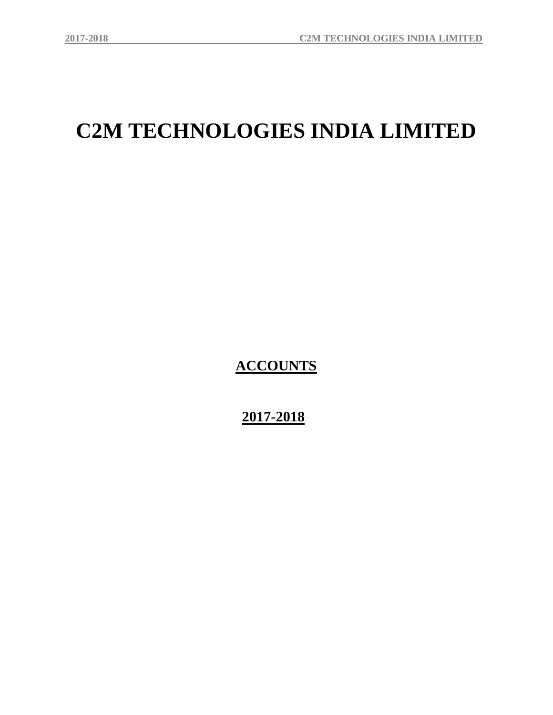# **C2M TECHNOLOGIES INDIA LIMITED**

**ACCOUNTS**

 **2017-2018**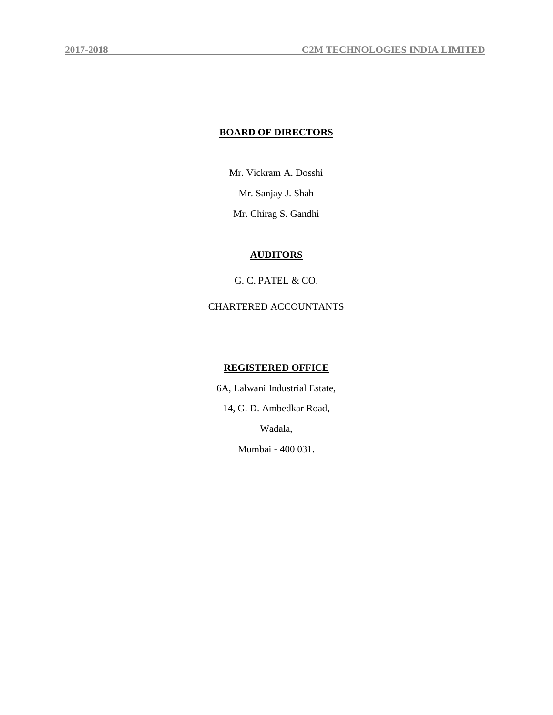# **BOARD OF DIRECTORS**

Mr. Vickram A. Dosshi Mr. Sanjay J. Shah Mr. Chirag S. Gandhi

# **AUDITORS**

G. C. PATEL & CO.

CHARTERED ACCOUNTANTS

# **REGISTERED OFFICE**

6A, Lalwani Industrial Estate,

14, G. D. Ambedkar Road,

Wadala,

Mumbai - 400 031.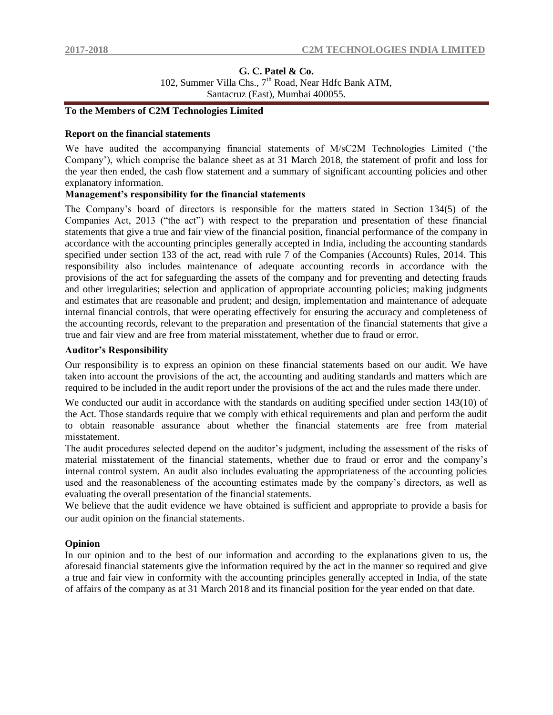# **G. C. Patel & Co.** 102, Summer Villa Chs.,  $7<sup>th</sup>$  Road, Near Hdfc Bank ATM, Santacruz (East), Mumbai 400055.

# **To the Members of C2M Technologies Limited**

# **Report on the financial statements**

We have audited the accompanying financial statements of M/sC2M Technologies Limited ("the Company"), which comprise the balance sheet as at 31 March 2018, the statement of profit and loss for the year then ended, the cash flow statement and a summary of significant accounting policies and other explanatory information.

# **Management's responsibility for the financial statements**

The Company"s board of directors is responsible for the matters stated in Section 134(5) of the Companies Act, 2013 ("the act") with respect to the preparation and presentation of these financial statements that give a true and fair view of the financial position, financial performance of the company in accordance with the accounting principles generally accepted in India, including the accounting standards specified under section 133 of the act, read with rule 7 of the Companies (Accounts) Rules, 2014. This responsibility also includes maintenance of adequate accounting records in accordance with the provisions of the act for safeguarding the assets of the company and for preventing and detecting frauds and other irregularities; selection and application of appropriate accounting policies; making judgments and estimates that are reasonable and prudent; and design, implementation and maintenance of adequate internal financial controls, that were operating effectively for ensuring the accuracy and completeness of the accounting records, relevant to the preparation and presentation of the financial statements that give a true and fair view and are free from material misstatement, whether due to fraud or error.

### **Auditor's Responsibility**

Our responsibility is to express an opinion on these financial statements based on our audit. We have taken into account the provisions of the act, the accounting and auditing standards and matters which are required to be included in the audit report under the provisions of the act and the rules made there under.

We conducted our audit in accordance with the standards on auditing specified under section 143(10) of the Act. Those standards require that we comply with ethical requirements and plan and perform the audit to obtain reasonable assurance about whether the financial statements are free from material misstatement.

The audit procedures selected depend on the auditor"s judgment, including the assessment of the risks of material misstatement of the financial statements, whether due to fraud or error and the company"s internal control system. An audit also includes evaluating the appropriateness of the accounting policies used and the reasonableness of the accounting estimates made by the company's directors, as well as evaluating the overall presentation of the financial statements.

We believe that the audit evidence we have obtained is sufficient and appropriate to provide a basis for our audit opinion on the financial statements.

# **Opinion**

In our opinion and to the best of our information and according to the explanations given to us, the aforesaid financial statements give the information required by the act in the manner so required and give a true and fair view in conformity with the accounting principles generally accepted in India, of the state of affairs of the company as at 31 March 2018 and its financial position for the year ended on that date.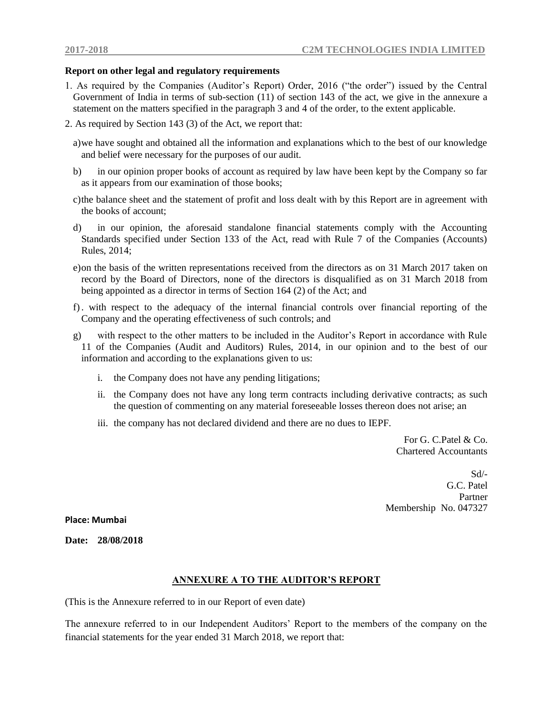# **Report on other legal and regulatory requirements**

- 1. As required by the Companies (Auditor"s Report) Order, 2016 ("the order") issued by the Central Government of India in terms of sub-section (11) of section 143 of the act, we give in the annexure a statement on the matters specified in the paragraph 3 and 4 of the order, to the extent applicable.
- 2. As required by Section 143 (3) of the Act, we report that:
	- a)we have sought and obtained all the information and explanations which to the best of our knowledge and belief were necessary for the purposes of our audit.
	- b) in our opinion proper books of account as required by law have been kept by the Company so far as it appears from our examination of those books;
	- c)the balance sheet and the statement of profit and loss dealt with by this Report are in agreement with the books of account;
	- d) in our opinion, the aforesaid standalone financial statements comply with the Accounting Standards specified under Section 133 of the Act, read with Rule 7 of the Companies (Accounts) Rules, 2014;
	- e)on the basis of the written representations received from the directors as on 31 March 2017 taken on record by the Board of Directors, none of the directors is disqualified as on 31 March 2018 from being appointed as a director in terms of Section 164 (2) of the Act; and
	- f). with respect to the adequacy of the internal financial controls over financial reporting of the Company and the operating effectiveness of such controls; and
	- g) with respect to the other matters to be included in the Auditor"s Report in accordance with Rule 11 of the Companies (Audit and Auditors) Rules, 2014, in our opinion and to the best of our information and according to the explanations given to us:
		- i. the Company does not have any pending litigations;
		- ii. the Company does not have any long term contracts including derivative contracts; as such the question of commenting on any material foreseeable losses thereon does not arise; an
		- iii. the company has not declared dividend and there are no dues to IEPF.

For G. C. Patel  $\&$  Co. Chartered Accountants

Sd/- G.C. Patel Partner Membership No. 047327

**Place: Mumbai** 

**Date: 28/08/2018**

## **ANNEXURE A TO THE AUDITOR'S REPORT**

(This is the Annexure referred to in our Report of even date)

The annexure referred to in our Independent Auditors" Report to the members of the company on the financial statements for the year ended 31 March 2018, we report that: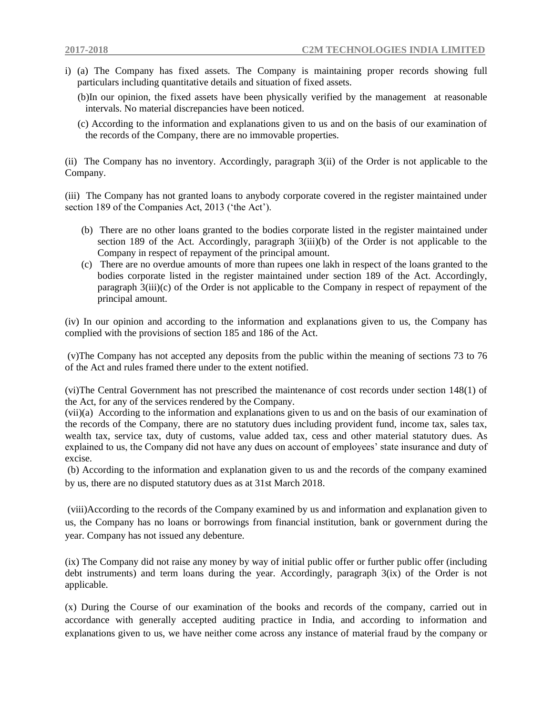- i) (a) The Company has fixed assets. The Company is maintaining proper records showing full particulars including quantitative details and situation of fixed assets.
	- (b)In our opinion, the fixed assets have been physically verified by the management at reasonable intervals. No material discrepancies have been noticed.
	- (c) According to the information and explanations given to us and on the basis of our examination of the records of the Company, there are no immovable properties.

(ii) The Company has no inventory. Accordingly, paragraph 3(ii) of the Order is not applicable to the Company.

(iii) The Company has not granted loans to anybody corporate covered in the register maintained under section 189 of the Companies Act, 2013 ("the Act").

- (b) There are no other loans granted to the bodies corporate listed in the register maintained under section 189 of the Act. Accordingly, paragraph  $3(iii)(b)$  of the Order is not applicable to the Company in respect of repayment of the principal amount.
- (c) There are no overdue amounts of more than rupees one lakh in respect of the loans granted to the bodies corporate listed in the register maintained under section 189 of the Act. Accordingly, paragraph 3(iii)(c) of the Order is not applicable to the Company in respect of repayment of the principal amount.

(iv) In our opinion and according to the information and explanations given to us, the Company has complied with the provisions of section 185 and 186 of the Act.

(v)The Company has not accepted any deposits from the public within the meaning of sections 73 to 76 of the Act and rules framed there under to the extent notified.

(vi)The Central Government has not prescribed the maintenance of cost records under section 148(1) of the Act, for any of the services rendered by the Company.

(vii)(a) According to the information and explanations given to us and on the basis of our examination of the records of the Company, there are no statutory dues including provident fund, income tax, sales tax, wealth tax, service tax, duty of customs, value added tax, cess and other material statutory dues. As explained to us, the Company did not have any dues on account of employees' state insurance and duty of excise.

(b) According to the information and explanation given to us and the records of the company examined by us, there are no disputed statutory dues as at 31st March 2018.

(viii)According to the records of the Company examined by us and information and explanation given to us, the Company has no loans or borrowings from financial institution, bank or government during the year. Company has not issued any debenture.

(ix) The Company did not raise any money by way of initial public offer or further public offer (including debt instruments) and term loans during the year. Accordingly, paragraph 3(ix) of the Order is not applicable.

(x) During the Course of our examination of the books and records of the company, carried out in accordance with generally accepted auditing practice in India, and according to information and explanations given to us, we have neither come across any instance of material fraud by the company or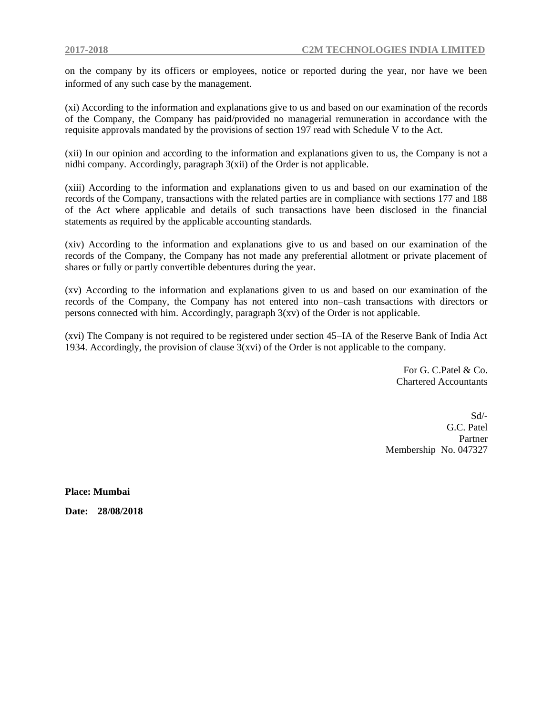on the company by its officers or employees, notice or reported during the year, nor have we been informed of any such case by the management.

(xi) According to the information and explanations give to us and based on our examination of the records of the Company, the Company has paid/provided no managerial remuneration in accordance with the requisite approvals mandated by the provisions of section 197 read with Schedule V to the Act.

(xii) In our opinion and according to the information and explanations given to us, the Company is not a nidhi company. Accordingly, paragraph 3(xii) of the Order is not applicable.

(xiii) According to the information and explanations given to us and based on our examination of the records of the Company, transactions with the related parties are in compliance with sections 177 and 188 of the Act where applicable and details of such transactions have been disclosed in the financial statements as required by the applicable accounting standards.

(xiv) According to the information and explanations give to us and based on our examination of the records of the Company, the Company has not made any preferential allotment or private placement of shares or fully or partly convertible debentures during the year.

(xv) According to the information and explanations given to us and based on our examination of the records of the Company, the Company has not entered into non–cash transactions with directors or persons connected with him. Accordingly, paragraph 3(xv) of the Order is not applicable.

(xvi) The Company is not required to be registered under section 45–IA of the Reserve Bank of India Act 1934. Accordingly, the provision of clause  $3(xvi)$  of the Order is not applicable to the company.

> For G. C.Patel & Co. Chartered Accountants

Sd/- G.C. Patel Partner Membership No. 047327

**Place: Mumbai** 

**Date: 28/08/2018**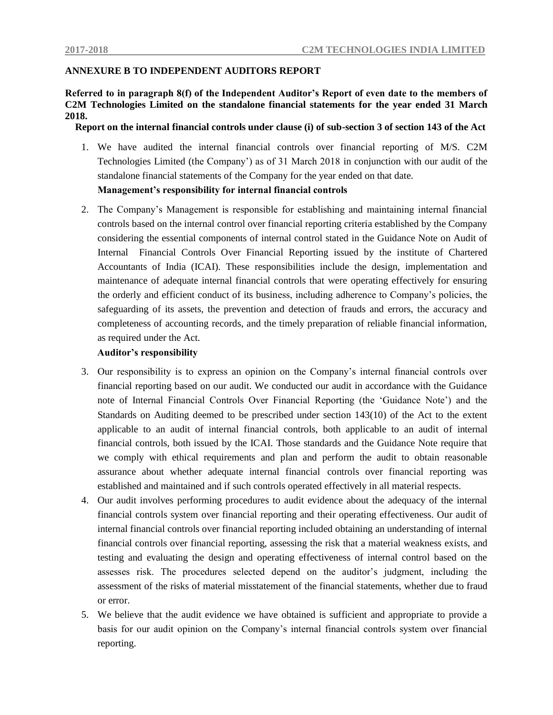# **ANNEXURE B TO INDEPENDENT AUDITORS REPORT**

**Referred to in paragraph 8(f) of the Independent Auditor's Report of even date to the members of C2M Technologies Limited on the standalone financial statements for the year ended 31 March 2018.**

 **Report on the internal financial controls under clause (i) of sub-section 3 of section 143 of the Act**

- 1. We have audited the internal financial controls over financial reporting of M/S. C2M Technologies Limited (the Company") as of 31 March 2018 in conjunction with our audit of the standalone financial statements of the Company for the year ended on that date.  **Management's responsibility for internal financial controls**
- 2. The Company"s Management is responsible for establishing and maintaining internal financial controls based on the internal control over financial reporting criteria established by the Company considering the essential components of internal control stated in the Guidance Note on Audit of Internal Financial Controls Over Financial Reporting issued by the institute of Chartered Accountants of India (ICAI). These responsibilities include the design, implementation and maintenance of adequate internal financial controls that were operating effectively for ensuring the orderly and efficient conduct of its business, including adherence to Company"s policies, the safeguarding of its assets, the prevention and detection of frauds and errors, the accuracy and completeness of accounting records, and the timely preparation of reliable financial information, as required under the Act.

# **Auditor's responsibility**

- 3. Our responsibility is to express an opinion on the Company"s internal financial controls over financial reporting based on our audit. We conducted our audit in accordance with the Guidance note of Internal Financial Controls Over Financial Reporting (the "Guidance Note") and the Standards on Auditing deemed to be prescribed under section 143(10) of the Act to the extent applicable to an audit of internal financial controls, both applicable to an audit of internal financial controls, both issued by the ICAI. Those standards and the Guidance Note require that we comply with ethical requirements and plan and perform the audit to obtain reasonable assurance about whether adequate internal financial controls over financial reporting was established and maintained and if such controls operated effectively in all material respects.
- 4. Our audit involves performing procedures to audit evidence about the adequacy of the internal financial controls system over financial reporting and their operating effectiveness. Our audit of internal financial controls over financial reporting included obtaining an understanding of internal financial controls over financial reporting, assessing the risk that a material weakness exists, and testing and evaluating the design and operating effectiveness of internal control based on the assesses risk. The procedures selected depend on the auditor"s judgment, including the assessment of the risks of material misstatement of the financial statements, whether due to fraud or error.
- 5. We believe that the audit evidence we have obtained is sufficient and appropriate to provide a basis for our audit opinion on the Company"s internal financial controls system over financial reporting.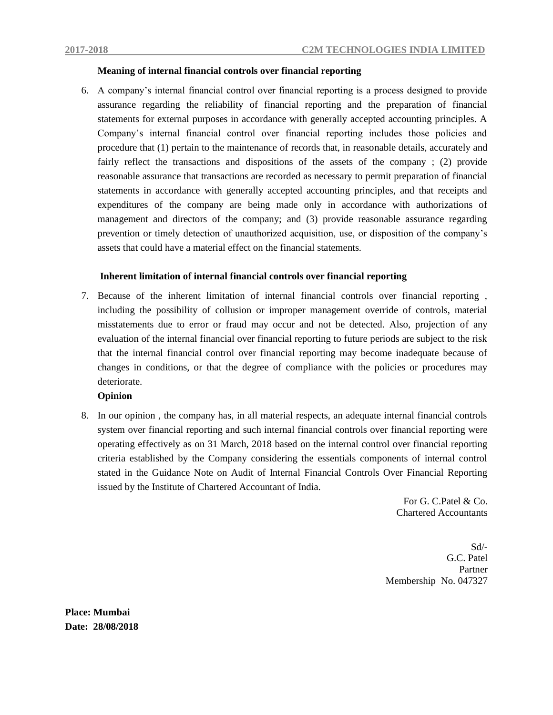# **Meaning of internal financial controls over financial reporting**

6. A company"s internal financial control over financial reporting is a process designed to provide assurance regarding the reliability of financial reporting and the preparation of financial statements for external purposes in accordance with generally accepted accounting principles. A Company"s internal financial control over financial reporting includes those policies and procedure that (1) pertain to the maintenance of records that, in reasonable details, accurately and fairly reflect the transactions and dispositions of the assets of the company ; (2) provide reasonable assurance that transactions are recorded as necessary to permit preparation of financial statements in accordance with generally accepted accounting principles, and that receipts and expenditures of the company are being made only in accordance with authorizations of management and directors of the company; and (3) provide reasonable assurance regarding prevention or timely detection of unauthorized acquisition, use, or disposition of the company"s assets that could have a material effect on the financial statements.

# **Inherent limitation of internal financial controls over financial reporting**

7. Because of the inherent limitation of internal financial controls over financial reporting , including the possibility of collusion or improper management override of controls, material misstatements due to error or fraud may occur and not be detected. Also, projection of any evaluation of the internal financial over financial reporting to future periods are subject to the risk that the internal financial control over financial reporting may become inadequate because of changes in conditions, or that the degree of compliance with the policies or procedures may deteriorate.

# **Opinion**

8. In our opinion , the company has, in all material respects, an adequate internal financial controls system over financial reporting and such internal financial controls over financial reporting were operating effectively as on 31 March, 2018 based on the internal control over financial reporting criteria established by the Company considering the essentials components of internal control stated in the Guidance Note on Audit of Internal Financial Controls Over Financial Reporting issued by the Institute of Chartered Accountant of India.

> For G. C.Patel & Co. Chartered Accountants

Sd/- G.C. Patel Partner Membership No. 047327

**Place: Mumbai Date: 28/08/2018**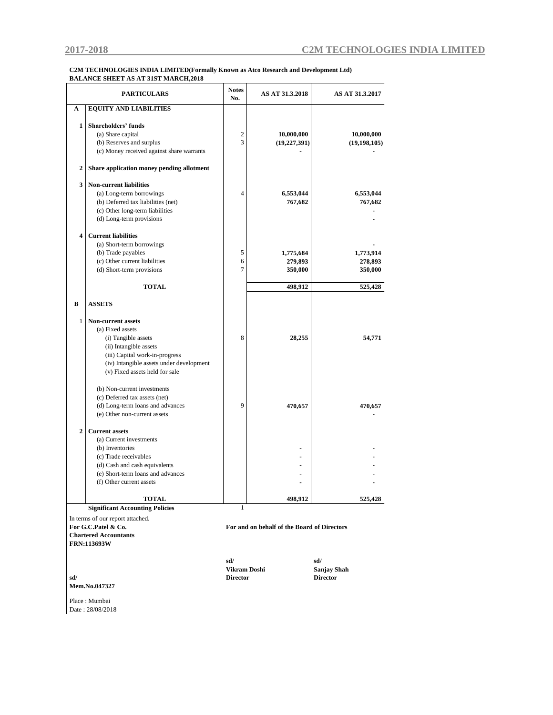#### **C2M TECHNOLOGIES INDIA LIMITED(Formally Known as Atco Research and Development Ltd) BALANCE SHEET AS AT 31ST MARCH,2018**

|                | <b>PARTICULARS</b>                        | <b>Notes</b><br>No. | AS AT 31.3.2018                             | AS AT 31.3.2017    |
|----------------|-------------------------------------------|---------------------|---------------------------------------------|--------------------|
| A              | <b>EQUITY AND LIABILITIES</b>             |                     |                                             |                    |
|                |                                           |                     |                                             |                    |
| 1              | <b>Shareholders' funds</b>                |                     |                                             |                    |
|                | (a) Share capital                         | 2                   | 10,000,000                                  | 10,000,000         |
|                | (b) Reserves and surplus                  | 3                   | (19, 227, 391)                              | (19, 198, 105)     |
|                | (c) Money received against share warrants |                     |                                             |                    |
| 2              | Share application money pending allotment |                     |                                             |                    |
| 3              | <b>Non-current liabilities</b>            |                     |                                             |                    |
|                | (a) Long-term borrowings                  | $\overline{4}$      | 6,553,044                                   | 6,553,044          |
|                | (b) Deferred tax liabilities (net)        |                     | 767,682                                     | 767,682            |
|                | (c) Other long-term liabilities           |                     |                                             |                    |
|                | (d) Long-term provisions                  |                     |                                             |                    |
|                |                                           |                     |                                             |                    |
| 4              | <b>Current liabilities</b>                |                     |                                             |                    |
|                | (a) Short-term borrowings                 |                     |                                             |                    |
|                | (b) Trade payables                        | 5                   | 1,775,684                                   | 1,773,914          |
|                | (c) Other current liabilities             | 6                   | 279,893                                     | 278,893            |
|                | (d) Short-term provisions                 | $\overline{7}$      | 350,000                                     | 350,000            |
|                |                                           |                     |                                             |                    |
|                | <b>TOTAL</b>                              |                     | 498,912                                     | 525,428            |
|                |                                           |                     |                                             |                    |
| B              | <b>ASSETS</b>                             |                     |                                             |                    |
|                |                                           |                     |                                             |                    |
| 1              | <b>Non-current assets</b>                 |                     |                                             |                    |
|                | (a) Fixed assets                          |                     |                                             |                    |
|                | (i) Tangible assets                       | 8                   | 28,255                                      | 54,771             |
|                | (ii) Intangible assets                    |                     |                                             |                    |
|                | (iii) Capital work-in-progress            |                     |                                             |                    |
|                | (iv) Intangible assets under development  |                     |                                             |                    |
|                | (v) Fixed assets held for sale            |                     |                                             |                    |
|                |                                           |                     |                                             |                    |
|                | (b) Non-current investments               |                     |                                             |                    |
|                | (c) Deferred tax assets (net)             |                     |                                             |                    |
|                | (d) Long-term loans and advances          | $\mathbf{Q}$        | 470,657                                     | 470,657            |
|                | (e) Other non-current assets              |                     |                                             |                    |
|                |                                           |                     |                                             |                    |
| $\overline{2}$ | <b>Current assets</b>                     |                     |                                             |                    |
|                | (a) Current investments                   |                     |                                             |                    |
|                | (b) Inventories                           |                     |                                             |                    |
|                | (c) Trade receivables                     |                     |                                             |                    |
|                | (d) Cash and cash equivalents             |                     |                                             |                    |
|                | (e) Short-term loans and advances         |                     |                                             |                    |
|                | (f) Other current assets                  |                     |                                             |                    |
|                |                                           |                     |                                             |                    |
|                | <b>TOTAL</b>                              | 1                   | 498,912                                     | 525,428            |
|                | <b>Significant Accounting Policies</b>    |                     |                                             |                    |
|                | In terms of our report attached.          |                     |                                             |                    |
|                | For G.C.Patel & Co.                       |                     | For and on behalf of the Board of Directors |                    |
|                | <b>Chartered Accountants</b>              |                     |                                             |                    |
|                | <b>FRN:113693W</b>                        |                     |                                             |                    |
|                |                                           |                     |                                             |                    |
|                |                                           | sd/                 |                                             | sd/                |
|                |                                           | Vikram Doshi        |                                             | <b>Sanjay Shah</b> |
| sd/            |                                           | <b>Director</b>     |                                             | <b>Director</b>    |
|                | <b>Mem.No.047327</b>                      |                     |                                             |                    |
|                |                                           |                     |                                             |                    |

Place : Mumbai Date : 28/08/2018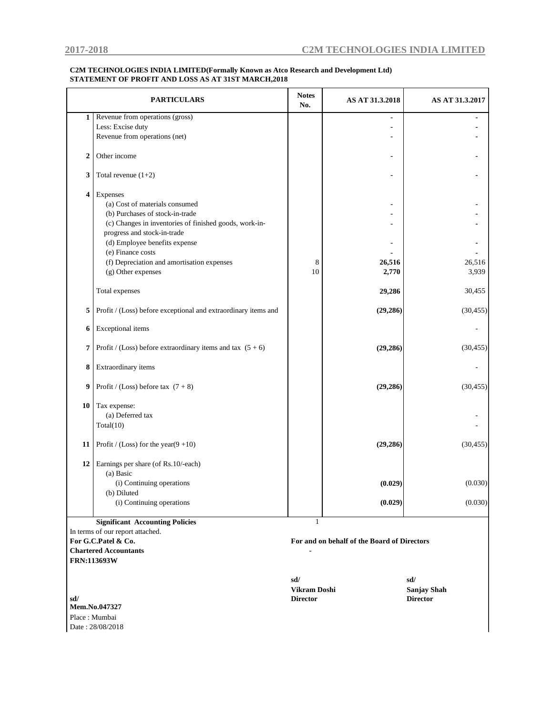#### **C2M TECHNOLOGIES INDIA LIMITED(Formally Known as Atco Research and Development Ltd) STATEMENT OF PROFIT AND LOSS AS AT 31ST MARCH,2018**

|                         | <b>PARTICULARS</b>                                             | <b>Notes</b><br>No. | AS AT 31.3.2018                             | AS AT 31.3.2017 |
|-------------------------|----------------------------------------------------------------|---------------------|---------------------------------------------|-----------------|
| $\mathbf{1}$            | Revenue from operations (gross)                                |                     |                                             |                 |
|                         | Less: Excise duty                                              |                     |                                             |                 |
|                         | Revenue from operations (net)                                  |                     |                                             |                 |
| $\overline{2}$          | Other income                                                   |                     |                                             |                 |
| 3                       | Total revenue $(1+2)$                                          |                     |                                             |                 |
| $\overline{\mathbf{4}}$ | Expenses                                                       |                     |                                             |                 |
|                         | (a) Cost of materials consumed                                 |                     |                                             |                 |
|                         | (b) Purchases of stock-in-trade                                |                     |                                             |                 |
|                         | (c) Changes in inventories of finished goods, work-in-         |                     |                                             |                 |
|                         | progress and stock-in-trade                                    |                     |                                             |                 |
|                         | (d) Employee benefits expense                                  |                     |                                             |                 |
|                         | (e) Finance costs                                              |                     |                                             |                 |
|                         | (f) Depreciation and amortisation expenses                     | 8                   | 26,516                                      | 26,516          |
|                         | (g) Other expenses                                             | 10                  | 2,770                                       | 3,939           |
|                         |                                                                |                     |                                             |                 |
|                         | Total expenses                                                 |                     | 29,286                                      | 30,455          |
| 5                       | Profit / (Loss) before exceptional and extraordinary items and |                     | (29, 286)                                   | (30, 455)       |
| 6                       | Exceptional items                                              |                     |                                             |                 |
| $\overline{7}$          | Profit / (Loss) before extraordinary items and tax $(5 + 6)$   |                     | (29, 286)                                   | (30, 455)       |
| 8                       | Extraordinary items                                            |                     |                                             |                 |
| 9                       | Profit / (Loss) before tax $(7 + 8)$                           |                     | (29, 286)                                   | (30, 455)       |
| 10                      | Tax expense:                                                   |                     |                                             |                 |
|                         | (a) Deferred tax                                               |                     |                                             |                 |
|                         | Total(10)                                                      |                     |                                             |                 |
|                         |                                                                |                     |                                             |                 |
| 11                      | Profit / (Loss) for the year( $9+10$ )                         |                     | (29, 286)                                   | (30, 455)       |
| 12                      | Earnings per share (of Rs.10/-each)                            |                     |                                             |                 |
|                         | (a) Basic                                                      |                     |                                             |                 |
|                         | (i) Continuing operations                                      |                     | (0.029)                                     | (0.030)         |
|                         | (b) Diluted                                                    |                     |                                             |                 |
|                         | (i) Continuing operations                                      |                     | (0.029)                                     | (0.030)         |
|                         |                                                                |                     |                                             |                 |
|                         | <b>Significant Accounting Policies</b>                         | $\mathbf{1}$        |                                             |                 |
|                         | In terms of our report attached.                               |                     |                                             |                 |
|                         | For G.C.Patel & Co.                                            |                     | For and on behalf of the Board of Directors |                 |
|                         | <b>Chartered Accountants</b>                                   |                     |                                             |                 |
|                         |                                                                |                     |                                             |                 |

 **sd/** 

**Mem.No.047327** Place : Mumbai

**FRN:113693W**

Date : 28/08/2018

**sd/ sd/ Vikram Doshi Sanjay Shah Director Director**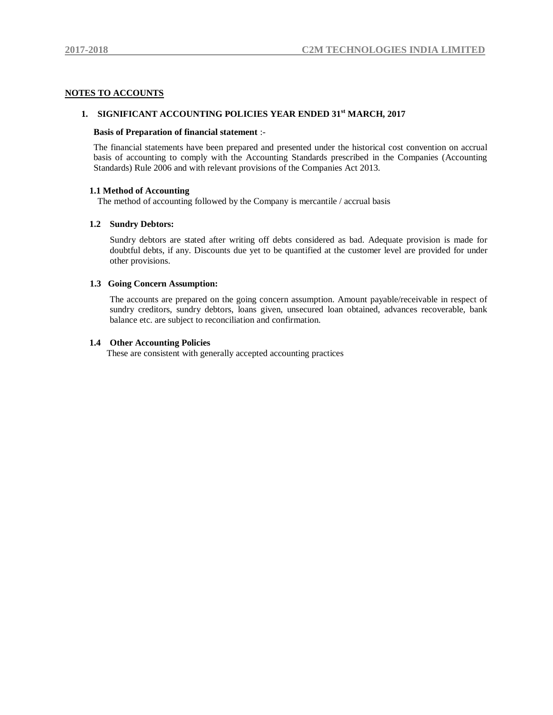#### **NOTES TO ACCOUNTS**

### **1. SIGNIFICANT ACCOUNTING POLICIES YEAR ENDED 31st MARCH, 2017**

#### **Basis of Preparation of financial statement** :-

The financial statements have been prepared and presented under the historical cost convention on accrual basis of accounting to comply with the Accounting Standards prescribed in the Companies (Accounting Standards) Rule 2006 and with relevant provisions of the Companies Act 2013.

#### **1.1 Method of Accounting**

The method of accounting followed by the Company is mercantile / accrual basis

#### **1.2 Sundry Debtors:**

Sundry debtors are stated after writing off debts considered as bad. Adequate provision is made for doubtful debts, if any. Discounts due yet to be quantified at the customer level are provided for under other provisions.

#### **1.3 Going Concern Assumption:**

The accounts are prepared on the going concern assumption. Amount payable/receivable in respect of sundry creditors, sundry debtors, loans given, unsecured loan obtained, advances recoverable, bank balance etc. are subject to reconciliation and confirmation.

#### **1.4 Other Accounting Policies**

These are consistent with generally accepted accounting practices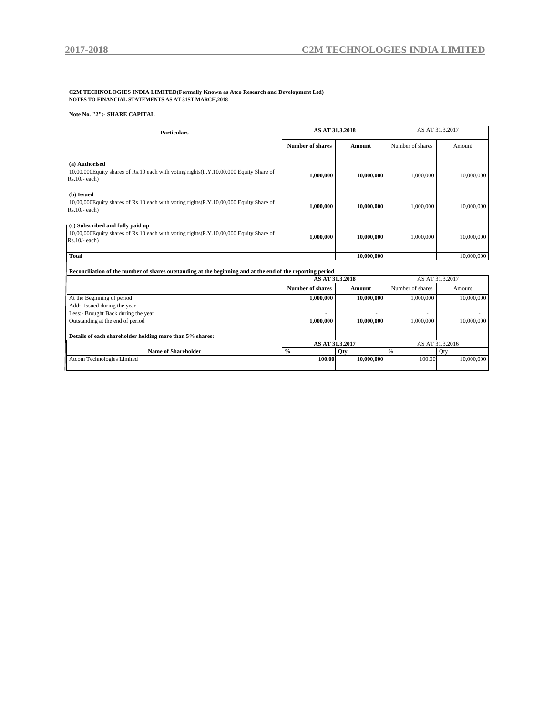# **C2M TECHNOLOGIES INDIA LIMITED(Formally Known as Atco Research and Development Ltd) NOTES TO FINANCIAL STATEMENTS AS AT 31ST MARCH,2018**

**Note No. "2":- SHARE CAPITAL**

| <b>Particulars</b>                                                                                                                             | AS AT 31.3.2018         |            | AS AT 31.3.2017  |            |  |
|------------------------------------------------------------------------------------------------------------------------------------------------|-------------------------|------------|------------------|------------|--|
|                                                                                                                                                | <b>Number of shares</b> | Amount     | Number of shares | Amount     |  |
| (a) Authorised<br>10,00,000 Equity shares of Rs.10 each with voting rights (P.Y.10,00,000 Equity Share of<br>$Rs.10/- each$                    | 1,000,000               | 10,000,000 | 1,000,000        | 10,000,000 |  |
| (b) Issued<br>10,00,000Equity shares of Rs.10 each with voting rights(P.Y.10,00,000 Equity Share of<br>$Rs.10/-$ each)                         | 1,000,000               | 10,000,000 | 1,000,000        | 10,000,000 |  |
| (c) Subscribed and fully paid up<br>10,00,000 Equity shares of Rs.10 each with voting rights (P.Y.10,00,000 Equity Share of<br>$Rs.10/-$ each) | 1,000,000               | 10,000,000 | 1,000,000        | 10,000,000 |  |
| <b>Total</b>                                                                                                                                   |                         | 10,000,000 |                  | 10,000,000 |  |
|                                                                                                                                                |                         |            |                  |            |  |

| Reconciliation of the number of shares outstanding at the beginning and at the end of the reporting period |                         |            |                  |                 |  |  |  |
|------------------------------------------------------------------------------------------------------------|-------------------------|------------|------------------|-----------------|--|--|--|
|                                                                                                            | AS AT 31.3.2018         |            | AS AT 31.3.2017  |                 |  |  |  |
|                                                                                                            | <b>Number of shares</b> | Amount     | Number of shares | Amount          |  |  |  |
| At the Beginning of period                                                                                 | 1.000.000               | 10,000,000 | 1,000,000        | 10,000,000      |  |  |  |
| Add:- Issued during the year                                                                               |                         |            |                  |                 |  |  |  |
| Less:- Brought Back during the year                                                                        |                         |            |                  |                 |  |  |  |
| Outstanding at the end of period                                                                           | 1.000.000               | 10,000,000 | 1,000,000        | 10,000,000      |  |  |  |
| Details of each shareholder holding more than 5% shares:                                                   |                         |            |                  |                 |  |  |  |
|                                                                                                            | AS AT 31.3.2017         |            |                  | AS AT 31.3.2016 |  |  |  |
| Name of Shareholder                                                                                        | $\frac{0}{0}$           | Qty        | $\frac{9}{6}$    | Qty             |  |  |  |
| Atcom Technologies Limited                                                                                 | 100.00                  | 10,000,000 | 100.00           | 10,000,000      |  |  |  |
|                                                                                                            |                         |            |                  |                 |  |  |  |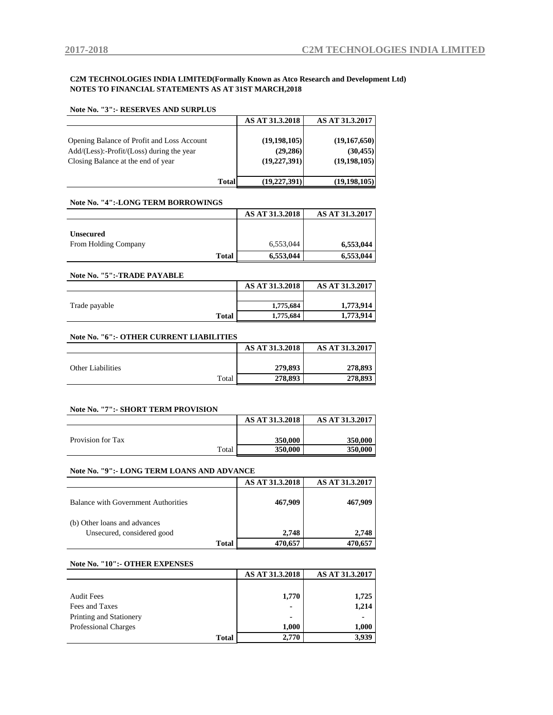#### **C2M TECHNOLOGIES INDIA LIMITED(Formally Known as Atco Research and Development Ltd) NOTES TO FINANCIAL STATEMENTS AS AT 31ST MARCH,2018**

| <b>Note No. "3":- RESERVES AND SURPLUS</b>                                                                                          |                                               |                                             |
|-------------------------------------------------------------------------------------------------------------------------------------|-----------------------------------------------|---------------------------------------------|
|                                                                                                                                     | AS AT 31.3.2018                               | AS AT 31.3.2017                             |
| Opening Balance of Profit and Loss Account<br>$Add/(Less)$ :-Profit/ $(Loss)$ during the year<br>Closing Balance at the end of year | (19, 198, 105)<br>(29, 286)<br>(19, 227, 391) | (19,167,650)<br>(30, 455)<br>(19, 198, 105) |
| <b>Total</b>                                                                                                                        | (19, 227, 391)                                | (19, 198, 105)                              |

#### **Note No. "4":-LONG TERM BORROWINGS**

|                                          |              | AS AT 31.3.2018 | AS AT 31.3.2017 |
|------------------------------------------|--------------|-----------------|-----------------|
| <b>Unsecured</b><br>From Holding Company |              | 6,553,044       | 6,553,044       |
|                                          | <b>Total</b> | 6,553,044       | 6.553,044       |

#### **Note No. "5":-TRADE PAYABLE**

|               |              | AS AT 31.3.2018 | AS AT 31.3.2017 |
|---------------|--------------|-----------------|-----------------|
|               |              |                 |                 |
| Trade payable |              | 1,775,684       | 1,773,914       |
|               | <b>Total</b> | 1,775,684       | 1,773,914       |

#### **Note No. "6":- OTHER CURRENT LIABILITIES**

|                   | AS AT 31.3.2018 | AS AT 31.3.2017 |
|-------------------|-----------------|-----------------|
|                   |                 |                 |
| Other Liabilities | 279,893         | 278,893         |
| Total             | 278,893         | 278,893         |

#### **Note No. "7":- SHORT TERM PROVISION**

|                   |       | AS AT 31.3.2018 | AS AT 31.3.2017 |
|-------------------|-------|-----------------|-----------------|
|                   |       |                 |                 |
| Provision for Tax |       | 350,000         | 350,000         |
|                   | Total | 350,000         | 350,000         |

#### **Note No. "9":- LONG TERM LOANS AND ADVANCE**

|                                            | AS AT 31.3.2018 | AS AT 31.3.2017 |
|--------------------------------------------|-----------------|-----------------|
| <b>Balance with Government Authorities</b> | 467,909         | 467,909         |
| (b) Other loans and advances               |                 |                 |
| Unsecured, considered good                 | 2.748           | 2.748           |
| <b>Total</b>                               | 470.657         | 470.657         |

#### **Note No. "10":- OTHER EXPENSES**

|                             | AS AT 31.3.2018 | AS AT 31.3.2017 |
|-----------------------------|-----------------|-----------------|
|                             |                 |                 |
| <b>Audit Fees</b>           | 1,770           | 1,725           |
| Fees and Taxes              | ٠               | 1,214           |
| Printing and Stationery     |                 |                 |
| <b>Professional Charges</b> | 1,000           | 1,000           |
| <b>Total</b>                | 2.770           | 3,939           |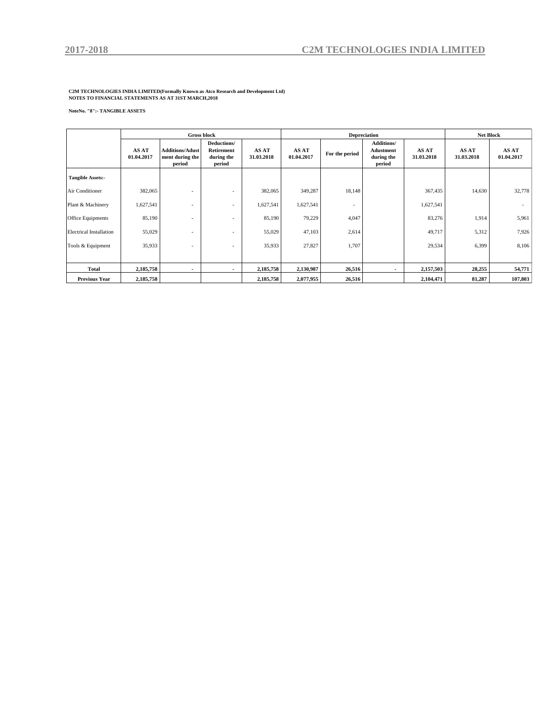**C2M TECHNOLOGIES INDIA LIMITED(Formally Known as Atco Research and Development Ltd) NOTES TO FINANCIAL STATEMENTS AS AT 31ST MARCH,2018**

#### **NoteNo. "8":- TANGIBLE ASSETS**

|                                |                     |                                                     | <b>Gross block</b>                                       |                     |                     | <b>Depreciation</b> |                                                        |                     | <b>Net Block</b>    |                     |  |
|--------------------------------|---------------------|-----------------------------------------------------|----------------------------------------------------------|---------------------|---------------------|---------------------|--------------------------------------------------------|---------------------|---------------------|---------------------|--|
|                                | AS AT<br>01.04.2017 | <b>Additions/Adust</b><br>ment during the<br>period | Deductions/<br><b>Retirement</b><br>during the<br>period | AS AT<br>31.03.2018 | AS AT<br>01.04.2017 | For the period      | <b>Additions/</b><br>Adustment<br>during the<br>period | AS AT<br>31.03.2018 | AS AT<br>31.03.2018 | AS AT<br>01.04.2017 |  |
| <b>Tangible Assets:-</b>       |                     |                                                     |                                                          |                     |                     |                     |                                                        |                     |                     |                     |  |
| Air Conditioner                | 382,065             |                                                     |                                                          | 382,065             | 349,287             | 18,148              |                                                        | 367,435             | 14,630              | 32,778              |  |
| Plant & Machinery              | 1,627,541           | ۰                                                   |                                                          | 1,627,541           | 1,627,541           | ٠                   |                                                        | 1,627,541           |                     |                     |  |
| <b>Office Equipments</b>       | 85,190              | $\overline{\phantom{a}}$                            |                                                          | 85,190              | 79,229              | 4,047               |                                                        | 83,276              | 1,914               | 5,961               |  |
| <b>Electrical Installation</b> | 55,029              |                                                     |                                                          | 55,029              | 47,103              | 2,614               |                                                        | 49,717              | 5,312               | 7,926               |  |
| Tools & Equipment              | 35,933              | $\overline{\phantom{a}}$                            | $\overline{\phantom{a}}$                                 | 35,933              | 27,827              | 1,707               |                                                        | 29,534              | 6,399               | 8,106               |  |
|                                |                     |                                                     |                                                          |                     |                     |                     |                                                        |                     |                     |                     |  |
| Total                          | 2,185,758           |                                                     |                                                          | 2,185,758           | 2,130,987           | 26,516              |                                                        | 2,157,503           | 28,255              | 54,771              |  |
| <b>Previous Year</b>           | 2,185,758           |                                                     |                                                          | 2,185,758           | 2,077,955           | 26,516              |                                                        | 2,104,471           | 81,287              | 107,803             |  |